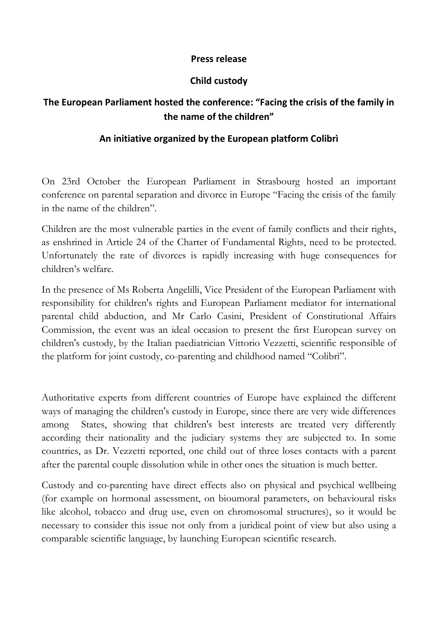### **Press release**

## **Child custody**

# **The European Parliament hosted the conference: "Facing the crisis of the family in the name of the children"**

## **An initiative organized by the European platform Colibrì**

On 23rd October the European Parliament in Strasbourg hosted an important conference on parental separation and divorce in Europe "Facing the crisis of the family in the name of the children".

Children are the most vulnerable parties in the event of family conflicts and their rights, as enshrined in Article 24 of the Charter of Fundamental Rights, need to be protected. Unfortunately the rate of divorces is rapidly increasing with huge consequences for children's welfare.

In the presence of Ms Roberta Angelilli, Vice President of the European Parliament with responsibility for children's rights and European Parliament mediator for international parental child abduction, and Mr Carlo Casini, President of Constitutional Affairs Commission, the event was an ideal occasion to present the first European survey on children's custody, by the Italian paediatrician Vittorio Vezzetti, scientific responsible of the platform for joint custody, co-parenting and childhood named "Colibrì".

Authoritative experts from different countries of Europe have explained the different ways of managing the children's custody in Europe, since there are very wide differences among States, showing that children's best interests are treated very differently according their nationality and the judiciary systems they are subjected to. In some countries, as Dr. Vezzetti reported, one child out of three loses contacts with a parent after the parental couple dissolution while in other ones the situation is much better.

Custody and co-parenting have direct effects also on physical and psychical wellbeing (for example on hormonal assessment, on bioumoral parameters, on behavioural risks like alcohol, tobacco and drug use, even on chromosomal structures), so it would be necessary to consider this issue not only from a juridical point of view but also using a comparable scientific language, by launching European scientific research.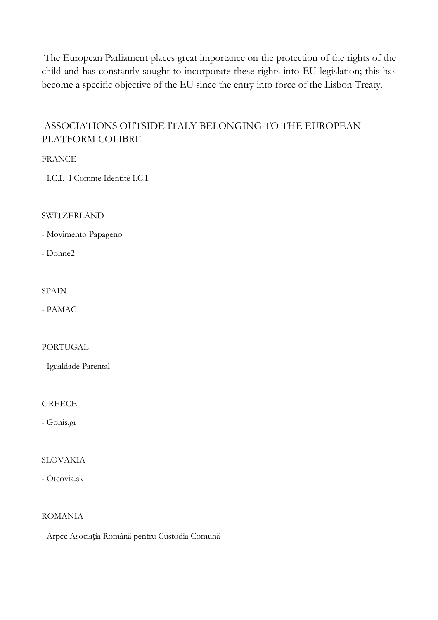The European Parliament places great importance on the protection of the rights of the child and has constantly sought to incorporate these rights into EU legislation; this has become a specific objective of the EU since the entry into force of the Lisbon Treaty.

## ASSOCIATIONS OUTSIDE ITALY BELONGING TO THE EUROPEAN PLATFORM COLIBRI'

**FRANCE** 

- I.C.I. I Comme Identitè I.C.I.

**SWITZERLAND** 

- Movimento Papageno

- Donne2

**SPAIN** 

- PAMAC

PORTUGAL

- Igualdade Parental

### **GREECE**

- Gonis.gr

### **SLOVAKIA**

- Otcovia.sk

### **ROMANIA**

- Arpcc Asociația Română pentru Custodia Comună